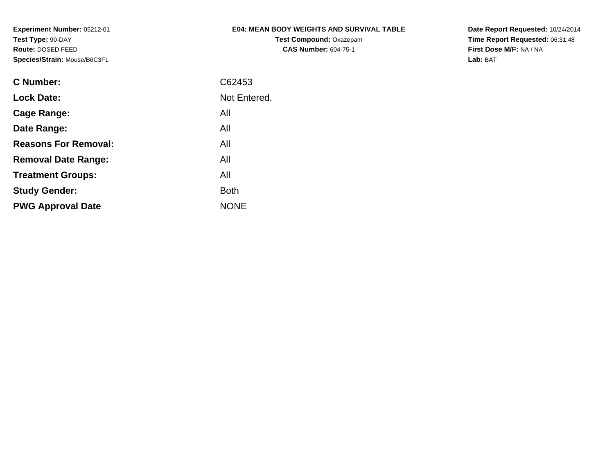### **E04: MEAN BODY WEIGHTS AND SURVIVAL TABLE**

**Test Compound:** Oxazepam**CAS Number:** 604-75-1

**Date Report Requested:** 10/24/2014 **Time Report Requested:** 06:31:48**First Dose M/F:** NA / NA**Lab:** BAT

| <b>C</b> Number:            | C62453       |
|-----------------------------|--------------|
| <b>Lock Date:</b>           | Not Entered. |
| Cage Range:                 | All          |
| Date Range:                 | All          |
| <b>Reasons For Removal:</b> | All          |
| <b>Removal Date Range:</b>  | All          |
| <b>Treatment Groups:</b>    | All          |
| <b>Study Gender:</b>        | <b>Both</b>  |
| <b>PWG Approval Date</b>    | <b>NONE</b>  |
|                             |              |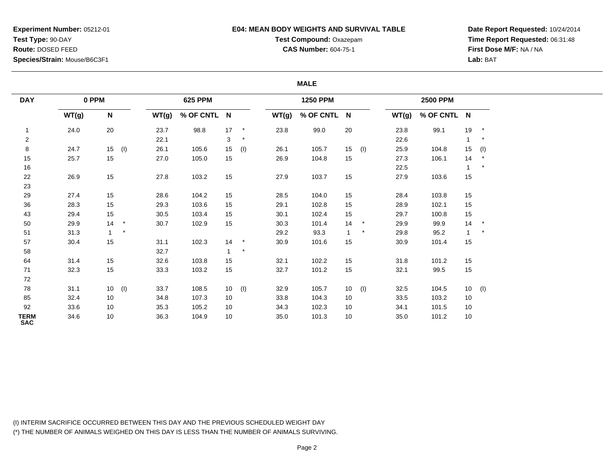### **E04: MEAN BODY WEIGHTS AND SURVIVAL TABLE**

**Test Compound:** Oxazepam**CAS Number:** 604-75-1

**Date Report Requested:** 10/24/2014**Time Report Requested:** 06:31:48**First Dose M/F:** NA / NA**Lab:** BAT

#### **MALE**

| <b>DAY</b>                |       | 0 PPM        |          |       | 625 PPM     |              |            |       | <b>1250 PPM</b> |              |          |       | <b>2500 PPM</b> |                 |            |
|---------------------------|-------|--------------|----------|-------|-------------|--------------|------------|-------|-----------------|--------------|----------|-------|-----------------|-----------------|------------|
|                           | WT(g) | $\mathsf{N}$ |          | WT(g) | % OF CNTL N |              |            | WT(g) | % OF CNTL N     |              |          | WT(g) | % OF CNTL N     |                 |            |
| $\mathbf{1}$              | 24.0  | 20           |          | 23.7  | 98.8        | 17           | $^{\star}$ | 23.8  | 99.0            | 20           |          | 23.8  | 99.1            | 19              | $^{\star}$ |
| $\overline{c}$            |       |              |          | 22.1  |             | 3            | $\star$    |       |                 |              |          | 22.6  |                 |                 | $\ast$     |
| 8                         | 24.7  |              | $15$ (I) | 26.1  | 105.6       | 15           | (1)        | 26.1  | 105.7           | 15           | (1)      | 25.9  | 104.8           | 15              | (1)        |
| 15                        | 25.7  | 15           |          | 27.0  | 105.0       | 15           |            | 26.9  | 104.8           | 15           |          | 27.3  | 106.1           | 14              |            |
| 16                        |       |              |          |       |             |              |            |       |                 |              |          | 22.5  |                 |                 | $\star$    |
| 22                        | 26.9  | 15           |          | 27.8  | 103.2       | 15           |            | 27.9  | 103.7           | 15           |          | 27.9  | 103.6           | 15              |            |
| 23                        |       |              |          |       |             |              |            |       |                 |              |          |       |                 |                 |            |
| 29                        | 27.4  | 15           |          | 28.6  | 104.2       | 15           |            | 28.5  | 104.0           | 15           |          | 28.4  | 103.8           | 15              |            |
| 36                        | 28.3  | 15           |          | 29.3  | 103.6       | 15           |            | 29.1  | 102.8           | 15           |          | 28.9  | 102.1           | 15              |            |
| 43                        | 29.4  | 15           |          | 30.5  | 103.4       | 15           |            | 30.1  | 102.4           | 15           |          | 29.7  | 100.8           | 15              |            |
| 50                        | 29.9  | 14           | $\star$  | 30.7  | 102.9       | 15           |            | 30.3  | 101.4           | 14           | $\ast$   | 29.9  | 99.9            | 14              | $^{\star}$ |
| 51                        | 31.3  | $\mathbf{1}$ | $\star$  |       |             |              |            | 29.2  | 93.3            | $\mathbf{1}$ | $\star$  | 29.8  | 95.2            | $\mathbf{1}$    | $\ast$     |
| 57                        | 30.4  | 15           |          | 31.1  | 102.3       | 14           | $\star$    | 30.9  | 101.6           | 15           |          | 30.9  | 101.4           | 15              |            |
| 58                        |       |              |          | 32.7  |             | $\mathbf{1}$ | $\star$    |       |                 |              |          |       |                 |                 |            |
| 64                        | 31.4  | 15           |          | 32.6  | 103.8       | 15           |            | 32.1  | 102.2           | 15           |          | 31.8  | 101.2           | 15              |            |
| 71                        | 32.3  | 15           |          | 33.3  | 103.2       | 15           |            | 32.7  | 101.2           | 15           |          | 32.1  | 99.5            | 15              |            |
| 72                        |       |              |          |       |             |              |            |       |                 |              |          |       |                 |                 |            |
| 78                        | 31.1  |              | $10$ (I) | 33.7  | 108.5       | 10           | (1)        | 32.9  | 105.7           |              | $10$ (l) | 32.5  | 104.5           | 10 <sub>1</sub> | (1)        |
| 85                        | 32.4  | 10           |          | 34.8  | 107.3       | 10           |            | 33.8  | 104.3           | 10           |          | 33.5  | 103.2           | 10              |            |
| 92                        | 33.6  | 10           |          | 35.3  | 105.2       | 10           |            | 34.3  | 102.3           | 10           |          | 34.1  | 101.5           | 10              |            |
| <b>TERM</b><br><b>SAC</b> | 34.6  | 10           |          | 36.3  | 104.9       | 10           |            | 35.0  | 101.3           | 10           |          | 35.0  | 101.2           | 10              |            |

(I) INTERIM SACRIFICE OCCURRED BETWEEN THIS DAY AND THE PREVIOUS SCHEDULED WEIGHT DAY(\*) THE NUMBER OF ANIMALS WEIGHED ON THIS DAY IS LESS THAN THE NUMBER OF ANIMALS SURVIVING.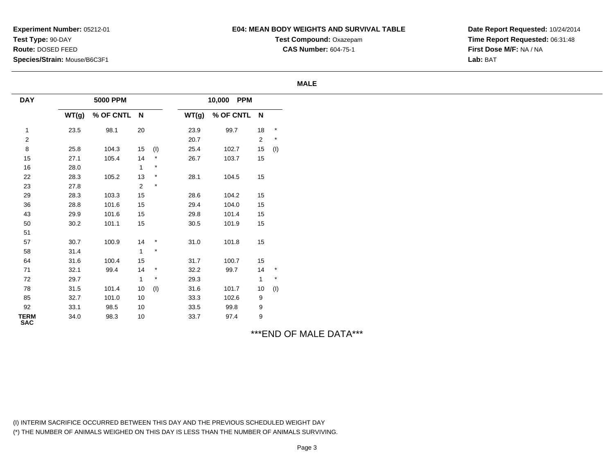### **E04: MEAN BODY WEIGHTS AND SURVIVAL TABLE**

**Test Compound:** Oxazepam**CAS Number:** 604-75-1

**Date Report Requested:** 10/24/2014**Time Report Requested:** 06:31:48**First Dose M/F:** NA / NA**Lab:** BAT

#### **MALE**

| <b>DAY</b>                |       | <b>5000 PPM</b> |            |            |       | 10,000 PPM  |                 |         |
|---------------------------|-------|-----------------|------------|------------|-------|-------------|-----------------|---------|
|                           | WT(g) | % OF CNTL N     |            |            | WT(g) | % OF CNTL N |                 |         |
|                           | 23.5  | 98.1            | $20\,$     |            | 23.9  | 99.7        | 18              | $\star$ |
| $\overline{\mathbf{c}}$   |       |                 |            |            | 20.7  |             | $\overline{a}$  | $\star$ |
| $\bf 8$                   | 25.8  | 104.3           | 15         | (1)        | 25.4  | 102.7       | 15              | (1)     |
| 15                        | 27.1  | 105.4           | 14         | $^{\star}$ | 26.7  | 103.7       | 15              |         |
| 16                        | 28.0  |                 | 1          | $\star$    |       |             |                 |         |
| 22                        | 28.3  | 105.2           | 13         | $\star$    | 28.1  | 104.5       | 15              |         |
| 23                        | 27.8  |                 | $\sqrt{2}$ | $\star$    |       |             |                 |         |
| 29                        | 28.3  | 103.3           | 15         |            | 28.6  | 104.2       | 15              |         |
| 36                        | 28.8  | 101.6           | 15         |            | 29.4  | 104.0       | 15              |         |
| 43                        | 29.9  | 101.6           | 15         |            | 29.8  | 101.4       | 15              |         |
| 50                        | 30.2  | 101.1           | 15         |            | 30.5  | 101.9       | 15              |         |
| 51                        |       |                 |            |            |       |             |                 |         |
| 57                        | 30.7  | 100.9           | 14         | $\star$    | 31.0  | 101.8       | 15              |         |
| 58                        | 31.4  |                 | 1          | $\star$    |       |             |                 |         |
| 64                        | 31.6  | 100.4           | 15         |            | 31.7  | 100.7       | 15              |         |
| 71                        | 32.1  | 99.4            | 14         | $^{\star}$ | 32.2  | 99.7        |                 | $14$ *  |
| 72                        | 29.7  |                 | 1          | $^\star$   | 29.3  |             | $\mathbf{1}$    | $\star$ |
| 78                        | 31.5  | 101.4           | 10         | (1)        | 31.6  | 101.7       | 10 <sup>1</sup> | (1)     |
| 85                        | 32.7  | 101.0           | 10         |            | 33.3  | 102.6       | 9               |         |
| 92                        | 33.1  | 98.5            | 10         |            | 33.5  | 99.8        | 9               |         |
| <b>TERM</b><br><b>SAC</b> | 34.0  | 98.3            | 10         |            | 33.7  | 97.4        | 9               |         |

\*\*\*END OF MALE DATA\*\*\*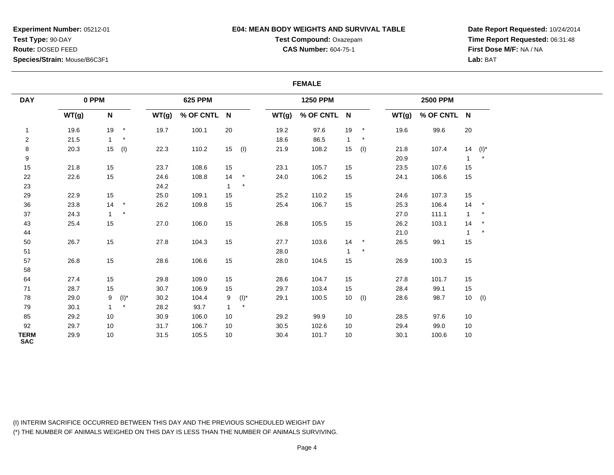# **E04: MEAN BODY WEIGHTS AND SURVIVAL TABLE**

**Test Compound:** Oxazepam**CAS Number:** 604-75-1

**Date Report Requested:** 10/24/2014**Time Report Requested:** 06:31:48**First Dose M/F:** NA / NA**Lab:** BAT

#### **FEMALE**

| <b>DAY</b>                |       | 0 PPM        |               |       | <b>625 PPM</b> |              |         |       | <b>1250 PPM</b> |                 |            |       | <b>2500 PPM</b> |              |          |
|---------------------------|-------|--------------|---------------|-------|----------------|--------------|---------|-------|-----------------|-----------------|------------|-------|-----------------|--------------|----------|
|                           | WT(g) | $\mathsf N$  |               | WT(g) | % OF CNTL N    |              |         | WT(g) | % OF CNTL N     |                 |            | WT(g) | % OF CNTL N     |              |          |
| $\mathbf{1}$              | 19.6  | 19           | $\rightarrow$ | 19.7  | 100.1          | 20           |         | 19.2  | 97.6            | 19              | $^{\star}$ | 19.6  | 99.6            | 20           |          |
| $\overline{\mathbf{c}}$   | 21.5  | $\mathbf{1}$ | $\star$       |       |                |              |         | 18.6  | 86.5            | $\mathbf{1}$    | $\star$    |       |                 |              |          |
| 8                         | 20.3  |              | $15$ (l)      | 22.3  | 110.2          | 15           | (1)     | 21.9  | 108.2           | 15              | (1)        | 21.8  | 107.4           | 14           | $(I)^*$  |
| 9                         |       |              |               |       |                |              |         |       |                 |                 |            | 20.9  |                 |              | $\star$  |
| $15\,$                    | 21.8  | 15           |               | 23.7  | 108.6          | 15           |         | 23.1  | 105.7           | 15              |            | 23.5  | 107.6           | 15           |          |
| 22                        | 22.6  | 15           |               | 24.6  | 108.8          | 14           | $\star$ | 24.0  | 106.2           | 15              |            | 24.1  | 106.6           | 15           |          |
| 23                        |       |              |               | 24.2  |                | $\mathbf{1}$ | $\star$ |       |                 |                 |            |       |                 |              |          |
| 29                        | 22.9  | 15           |               | 25.0  | 109.1          | 15           |         | 25.2  | 110.2           | 15              |            | 24.6  | 107.3           | 15           |          |
| 36                        | 23.8  | 14           | $\mathcal{A}$ | 26.2  | 109.8          | 15           |         | 25.4  | 106.7           | 15              |            | 25.3  | 106.4           | 14           | $\star$  |
| $37\,$                    | 24.3  | $\mathbf{1}$ | $\qquad \, *$ |       |                |              |         |       |                 |                 |            | 27.0  | 111.1           | $\mathbf{1}$ |          |
| 43                        | 25.4  | 15           |               | 27.0  | 106.0          | 15           |         | 26.8  | 105.5           | 15              |            | 26.2  | 103.1           | 14           | $\star$  |
| 44                        |       |              |               |       |                |              |         |       |                 |                 |            | 21.0  |                 |              | $\star$  |
| 50                        | 26.7  | 15           |               | 27.8  | 104.3          | 15           |         | 27.7  | 103.6           | 14              | $\star$    | 26.5  | 99.1            | 15           |          |
| 51                        |       |              |               |       |                |              |         | 28.0  |                 |                 | $\star$    |       |                 |              |          |
| 57                        | 26.8  | 15           |               | 28.6  | 106.6          | 15           |         | 28.0  | 104.5           | 15              |            | 26.9  | 100.3           | 15           |          |
| 58                        |       |              |               |       |                |              |         |       |                 |                 |            |       |                 |              |          |
| 64                        | 27.4  | 15           |               | 29.8  | 109.0          | 15           |         | 28.6  | 104.7           | 15              |            | 27.8  | 101.7           | 15           |          |
| 71                        | 28.7  | 15           |               | 30.7  | 106.9          | 15           |         | 29.7  | 103.4           | 15              |            | 28.4  | 99.1            | 15           |          |
| 78                        | 29.0  | 9            | $(I)^*$       | 30.2  | 104.4          | 9            | $(I)^*$ | 29.1  | 100.5           | 10 <sup>1</sup> | (1)        | 28.6  | 98.7            |              | $10$ (l) |
| 79                        | 30.1  | $\mathbf{1}$ | $\star$       | 28.2  | 93.7           | 1            | $\star$ |       |                 |                 |            |       |                 |              |          |
| 85                        | 29.2  | 10           |               | 30.9  | 106.0          | 10           |         | 29.2  | 99.9            | 10              |            | 28.5  | 97.6            | 10           |          |
| 92                        | 29.7  | 10           |               | 31.7  | 106.7          | 10           |         | 30.5  | 102.6           | 10              |            | 29.4  | 99.0            | 10           |          |
| <b>TERM</b><br><b>SAC</b> | 29.9  | 10           |               | 31.5  | 105.5          | 10           |         | 30.4  | 101.7           | 10              |            | 30.1  | 100.6           | 10           |          |

(I) INTERIM SACRIFICE OCCURRED BETWEEN THIS DAY AND THE PREVIOUS SCHEDULED WEIGHT DAY(\*) THE NUMBER OF ANIMALS WEIGHED ON THIS DAY IS LESS THAN THE NUMBER OF ANIMALS SURVIVING.